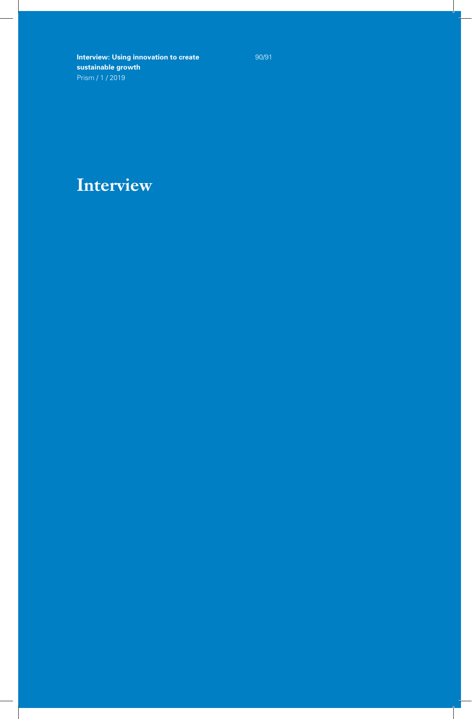90/91

## **Interview**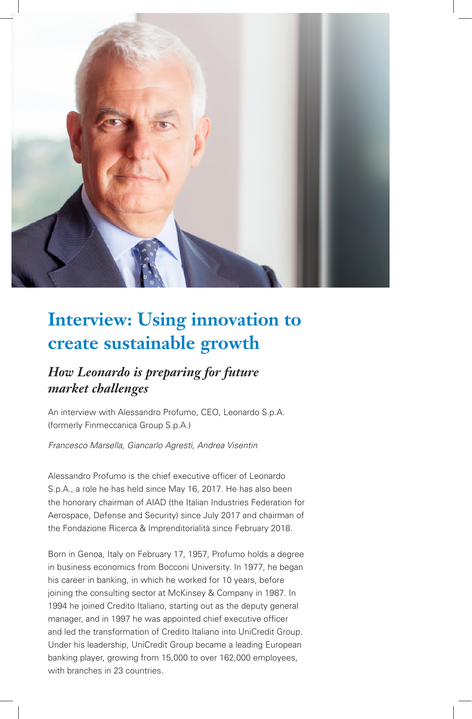

## *How Leonardo is preparing for future market challenges*

An interview with Alessandro Profumo, CEO, Leonardo S.p.A. (formerly Finmeccanica Group S.p.A.)

*Francesco Marsella, Giancarlo Agresti, Andrea Visentin*

Alessandro Profumo is the chief executive officer of Leonardo S.p.A., a role he has held since May 16, 2017. He has also been the honorary chairman of AIAD (the Italian Industries Federation for Aerospace, Defense and Security) since July 2017 and chairman of the Fondazione Ricerca & Imprenditorialità since February 2018.

Born in Genoa, Italy on February 17, 1957, Profumo holds a degree in business economics from Bocconi University. In 1977, he began his career in banking, in which he worked for 10 years, before joining the consulting sector at McKinsey & Company in 1987. In 1994 he joined Credito Italiano, starting out as the deputy general manager, and in 1997 he was appointed chief executive officer and led the transformation of Credito Italiano into UniCredit Group. Under his leadership, UniCredit Group became a leading European banking player, growing from 15,000 to over 162,000 employees, with branches in 23 countries.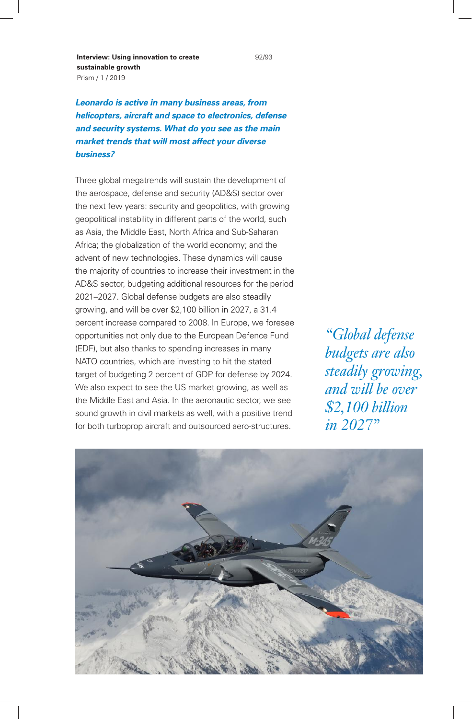*Leonardo is active in many business areas, from helicopters, aircraft and space to electronics, defense and security systems. What do you see as the main market trends that will most affect your diverse business?* 

Three global megatrends will sustain the development of the aerospace, defense and security (AD&S) sector over the next few years: security and geopolitics, with growing geopolitical instability in different parts of the world, such as Asia, the Middle East, North Africa and Sub-Saharan Africa; the globalization of the world economy; and the advent of new technologies. These dynamics will cause the majority of countries to increase their investment in the AD&S sector, budgeting additional resources for the period 2021–2027. Global defense budgets are also steadily growing, and will be over \$2,100 billion in 2027, a 31.4 percent increase compared to 2008. In Europe, we foresee opportunities not only due to the European Defence Fund (EDF), but also thanks to spending increases in many NATO countries, which are investing to hit the stated target of budgeting 2 percent of GDP for defense by 2024. We also expect to see the US market growing, as well as the Middle East and Asia. In the aeronautic sector, we see sound growth in civil markets as well, with a positive trend for both turboprop aircraft and outsourced aero-structures.

*"Global defense budgets are also steadily growing, and will be over \$2,100 billion in 2027"*

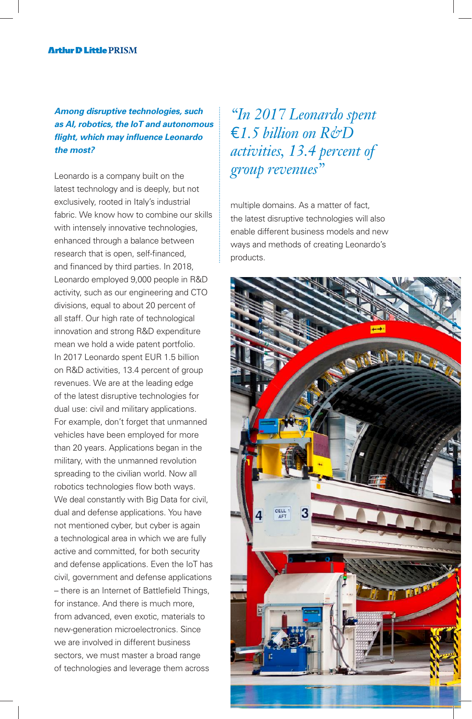### *Among disruptive technologies, such as AI, robotics, the IoT and autonomous flight, which may influence Leonardo the most?*

Leonardo is a company built on the latest technology and is deeply, but not exclusively, rooted in Italy's industrial fabric. We know how to combine our skills with intensely innovative technologies. enhanced through a balance between research that is open, self-financed, and financed by third parties. In 2018, Leonardo employed 9,000 people in R&D activity, such as our engineering and CTO divisions, equal to about 20 percent of all staff. Our high rate of technological innovation and strong R&D expenditure mean we hold a wide patent portfolio. In 2017 Leonardo spent EUR 1.5 billion on R&D activities, 13.4 percent of group revenues. We are at the leading edge of the latest disruptive technologies for dual use: civil and military applications. For example, don't forget that unmanned vehicles have been employed for more than 20 years. Applications began in the military, with the unmanned revolution spreading to the civilian world. Now all robotics technologies flow both ways. We deal constantly with Big Data for civil, dual and defense applications. You have not mentioned cyber, but cyber is again a technological area in which we are fully active and committed, for both security and defense applications. Even the IoT has civil, government and defense applications – there is an Internet of Battlefield Things, for instance. And there is much more, from advanced, even exotic, materials to new-generation microelectronics. Since we are involved in different business sectors, we must master a broad range of technologies and leverage them across

*"In 2017 Leonardo spent*  €*1.5 billion on R&D activities, 13.4 percent of group revenues"* 

multiple domains. As a matter of fact, the latest disruptive technologies will also enable different business models and new ways and methods of creating Leonardo's products.

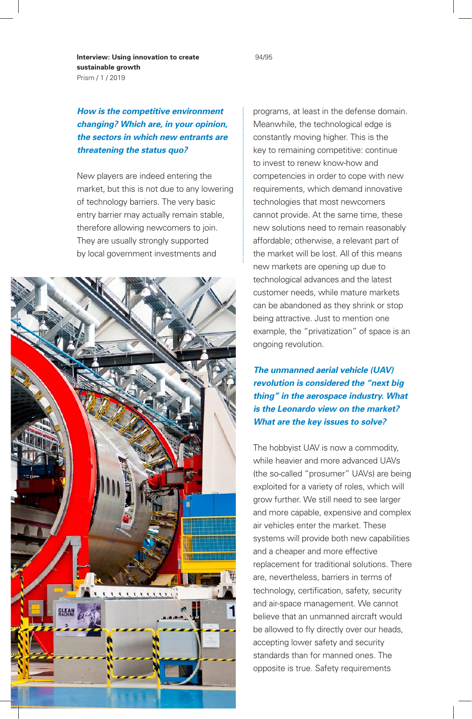*How is the competitive environment changing? Which are, in your opinion, the sectors in which new entrants are threatening the status quo?*

New players are indeed entering the market, but this is not due to any lowering of technology barriers. The very basic entry barrier may actually remain stable, therefore allowing newcomers to join. They are usually strongly supported by local government investments and



programs, at least in the defense domain. Meanwhile, the technological edge is constantly moving higher. This is the key to remaining competitive: continue to invest to renew know-how and competencies in order to cope with new requirements, which demand innovative technologies that most newcomers cannot provide. At the same time, these new solutions need to remain reasonably affordable; otherwise, a relevant part of the market will be lost. All of this means new markets are opening up due to technological advances and the latest customer needs, while mature markets can be abandoned as they shrink or stop being attractive. Just to mention one example, the "privatization" of space is an ongoing revolution.

*The unmanned aerial vehicle (UAV) revolution is considered the "next big thing" in the aerospace industry. What is the Leonardo view on the market? What are the key issues to solve?* 

The hobbyist UAV is now a commodity, while heavier and more advanced UAVs (the so-called "prosumer" UAVs) are being exploited for a variety of roles, which will grow further. We still need to see larger and more capable, expensive and complex air vehicles enter the market. These systems will provide both new capabilities and a cheaper and more effective replacement for traditional solutions. There are, nevertheless, barriers in terms of technology, certification, safety, security and air-space management. We cannot believe that an unmanned aircraft would be allowed to fly directly over our heads, accepting lower safety and security standards than for manned ones. The opposite is true. Safety requirements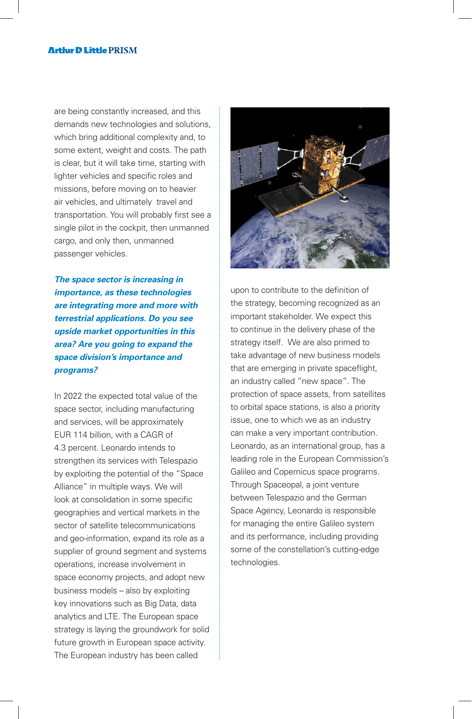#### **Arthir D Little PRISM**

are being constantly increased, and this demands new technologies and solutions, which bring additional complexity and, to some extent, weight and costs. The path is clear, but it will take time, starting with lighter vehicles and specific roles and missions, before moving on to heavier air vehicles, and ultimately travel and transportation. You will probably first see a single pilot in the cockpit, then unmanned cargo, and only then, unmanned passenger vehicles.

*The space sector is increasing in importance, as these technologies are integrating more and more with terrestrial applications. Do you see upside market opportunities in this area? Are you going to expand the space division's importance and programs?*

In 2022 the expected total value of the space sector, including manufacturing and services, will be approximately EUR 114 billion, with a CAGR of 4.3 percent. Leonardo intends to strengthen its services with Telespazio by exploiting the potential of the "Space Alliance" in multiple ways. We will look at consolidation in some specific geographies and vertical markets in the sector of satellite telecommunications and geo-information, expand its role as a supplier of ground segment and systems operations, increase involvement in space economy projects, and adopt new business models – also by exploiting key innovations such as Big Data, data analytics and LTE. The European space strategy is laying the groundwork for solid future growth in European space activity. The European industry has been called



upon to contribute to the definition of the strategy, becoming recognized as an important stakeholder. We expect this to continue in the delivery phase of the strategy itself. We are also primed to take advantage of new business models that are emerging in private spaceflight, an industry called "new space". The protection of space assets, from satellites to orbital space stations, is also a priority issue, one to which we as an industry can make a very important contribution. Leonardo, as an international group, has a leading role in the European Commission's Galileo and Copernicus space programs. Through Spaceopal, a joint venture between Telespazio and the German Space Agency, Leonardo is responsible for managing the entire Galileo system and its performance, including providing some of the constellation's cutting-edge technologies.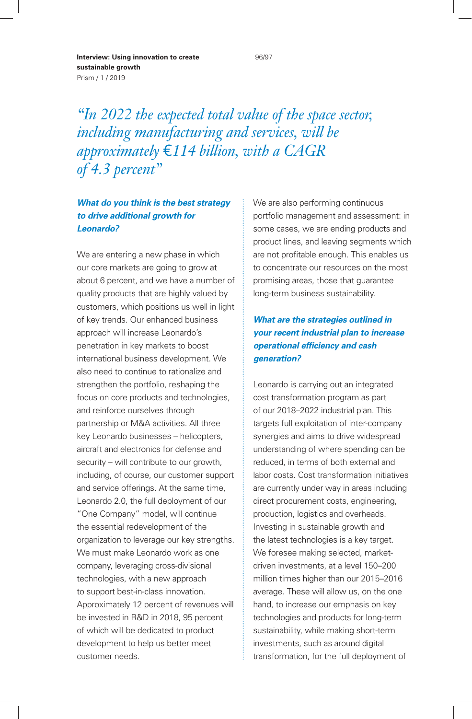*"In 2022 the expected total value of the space sector, including manufacturing and services, will be approximately* €*114 billion, with a CAGR of 4.3 percent"*

#### *What do you think is the best strategy to drive additional growth for Leonardo?*

We are entering a new phase in which our core markets are going to grow at about 6 percent, and we have a number of quality products that are highly valued by customers, which positions us well in light of key trends. Our enhanced business approach will increase Leonardo's penetration in key markets to boost international business development. We also need to continue to rationalize and strengthen the portfolio, reshaping the focus on core products and technologies, and reinforce ourselves through partnership or M&A activities. All three key Leonardo businesses – helicopters, aircraft and electronics for defense and security – will contribute to our growth, including, of course, our customer support and service offerings. At the same time, Leonardo 2.0, the full deployment of our "One Company" model, will continue the essential redevelopment of the organization to leverage our key strengths. We must make Leonardo work as one company, leveraging cross-divisional technologies, with a new approach to support best-in-class innovation. Approximately 12 percent of revenues will be invested in R&D in 2018, 95 percent of which will be dedicated to product development to help us better meet customer needs.

We are also performing continuous portfolio management and assessment: in some cases, we are ending products and product lines, and leaving segments which are not profitable enough. This enables us to concentrate our resources on the most promising areas, those that guarantee long-term business sustainability.

#### *What are the strategies outlined in your recent industrial plan to increase operational efficiency and cash generation?*

Leonardo is carrying out an integrated cost transformation program as part of our 2018–2022 industrial plan. This targets full exploitation of inter-company synergies and aims to drive widespread understanding of where spending can be reduced, in terms of both external and labor costs. Cost transformation initiatives are currently under way in areas including direct procurement costs, engineering, production, logistics and overheads. Investing in sustainable growth and the latest technologies is a key target. We foresee making selected, marketdriven investments, at a level 150–200 million times higher than our 2015–2016 average. These will allow us, on the one hand, to increase our emphasis on key technologies and products for long-term sustainability, while making short-term investments, such as around digital transformation, for the full deployment of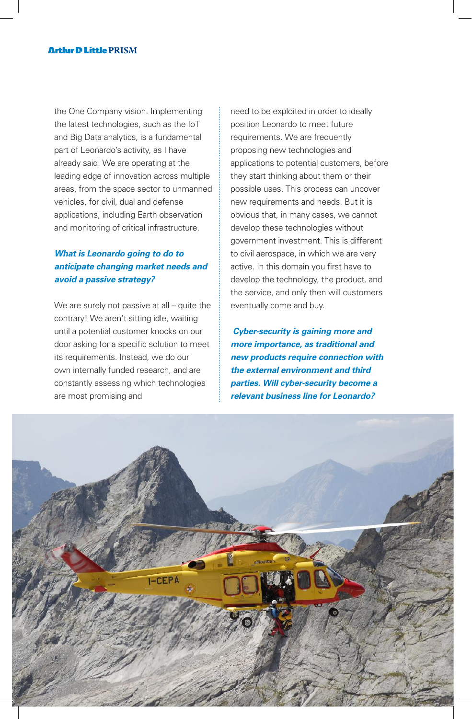the One Company vision. Implementing the latest technologies, such as the IoT and Big Data analytics, is a fundamental part of Leonardo's activity, as I have already said. We are operating at the leading edge of innovation across multiple areas, from the space sector to unmanned vehicles, for civil, dual and defense applications, including Earth observation and monitoring of critical infrastructure.

#### *What is Leonardo going to do to anticipate changing market needs and avoid a passive strategy?*

We are surely not passive at all – quite the contrary! We aren't sitting idle, waiting until a potential customer knocks on our door asking for a specific solution to meet its requirements. Instead, we do our own internally funded research, and are constantly assessing which technologies are most promising and

need to be exploited in order to ideally position Leonardo to meet future requirements. We are frequently proposing new technologies and applications to potential customers, before they start thinking about them or their possible uses. This process can uncover new requirements and needs. But it is obvious that, in many cases, we cannot develop these technologies without government investment. This is different to civil aerospace, in which we are very active. In this domain you first have to develop the technology, the product, and the service, and only then will customers eventually come and buy.

*Cyber-security is gaining more and more importance, as traditional and new products require connection with the external environment and third parties. Will cyber-security become a relevant business line for Leonardo?* 

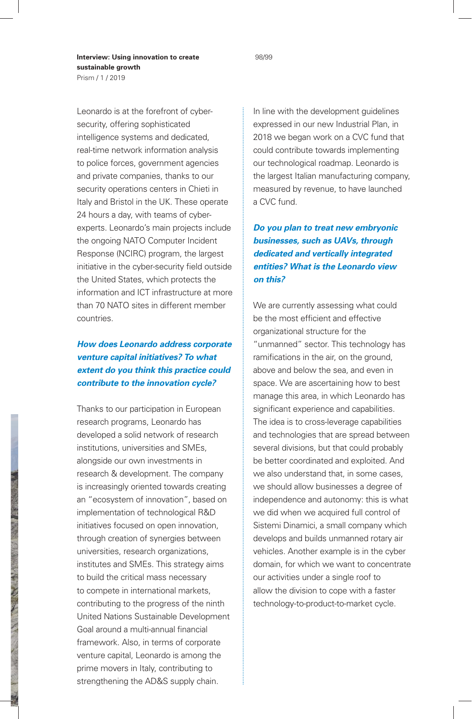Leonardo is at the forefront of cybersecurity, offering sophisticated intelligence systems and dedicated, real-time network information analysis to police forces, government agencies and private companies, thanks to our security operations centers in Chieti in Italy and Bristol in the UK. These operate 24 hours a day, with teams of cyberexperts. Leonardo's main projects include the ongoing NATO Computer Incident Response (NCIRC) program, the largest initiative in the cyber-security field outside the United States, which protects the information and ICT infrastructure at more than 70 NATO sites in different member countries.

### *How does Leonardo address corporate venture capital initiatives? To what extent do you think this practice could contribute to the innovation cycle?*

Thanks to our participation in European research programs, Leonardo has developed a solid network of research institutions, universities and SMEs, alongside our own investments in research & development. The company is increasingly oriented towards creating an "ecosystem of innovation", based on implementation of technological R&D initiatives focused on open innovation, through creation of synergies between universities, research organizations, institutes and SMEs. This strategy aims to build the critical mass necessary to compete in international markets, contributing to the progress of the ninth United Nations Sustainable Development Goal around a multi-annual financial framework. Also, in terms of corporate venture capital, Leonardo is among the prime movers in Italy, contributing to strengthening the AD&S supply chain.

In line with the development guidelines expressed in our new Industrial Plan, in 2018 we began work on a CVC fund that could contribute towards implementing our technological roadmap. Leonardo is the largest Italian manufacturing company, measured by revenue, to have launched a CVC fund.

*Do you plan to treat new embryonic businesses, such as UAVs, through dedicated and vertically integrated entities? What is the Leonardo view on this?*

We are currently assessing what could be the most efficient and effective organizational structure for the "unmanned" sector. This technology has ramifications in the air, on the ground, above and below the sea, and even in space. We are ascertaining how to best manage this area, in which Leonardo has significant experience and capabilities. The idea is to cross-leverage capabilities and technologies that are spread between several divisions, but that could probably be better coordinated and exploited. And we also understand that, in some cases, we should allow businesses a degree of independence and autonomy: this is what we did when we acquired full control of Sistemi Dinamici, a small company which develops and builds unmanned rotary air vehicles. Another example is in the cyber domain, for which we want to concentrate our activities under a single roof to allow the division to cope with a faster technology-to-product-to-market cycle.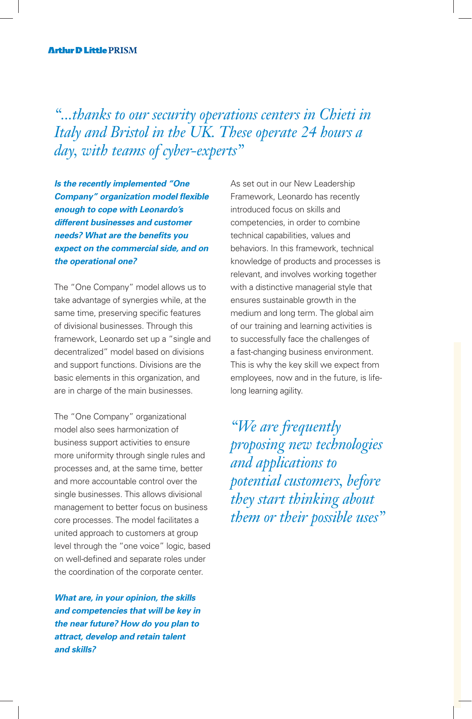*"...thanks to our security operations centers in Chieti in Italy and Bristol in the UK. These operate 24 hours a day, with teams of cyber-experts"*

*Is the recently implemented "One Company" organization model flexible enough to cope with Leonardo's different businesses and customer needs? What are the benefits you expect on the commercial side, and on the operational one?*

The "One Company" model allows us to take advantage of synergies while, at the same time, preserving specific features of divisional businesses. Through this framework, Leonardo set up a "single and decentralized" model based on divisions and support functions. Divisions are the basic elements in this organization, and are in charge of the main businesses.

The "One Company" organizational model also sees harmonization of business support activities to ensure more uniformity through single rules and processes and, at the same time, better and more accountable control over the single businesses. This allows divisional management to better focus on business core processes. The model facilitates a united approach to customers at group level through the "one voice" logic, based on well-defined and separate roles under the coordination of the corporate center.

*What are, in your opinion, the skills and competencies that will be key in the near future? How do you plan to attract, develop and retain talent and skills?*

As set out in our New Leadership Framework, Leonardo has recently introduced focus on skills and competencies, in order to combine technical capabilities, values and behaviors. In this framework, technical knowledge of products and processes is relevant, and involves working together with a distinctive managerial style that ensures sustainable growth in the medium and long term. The global aim of our training and learning activities is to successfully face the challenges of a fast-changing business environment. This is why the key skill we expect from employees, now and in the future, is lifelong learning agility.

*"We are frequently proposing new technologies and applications to potential customers, before they start thinking about them or their possible uses"*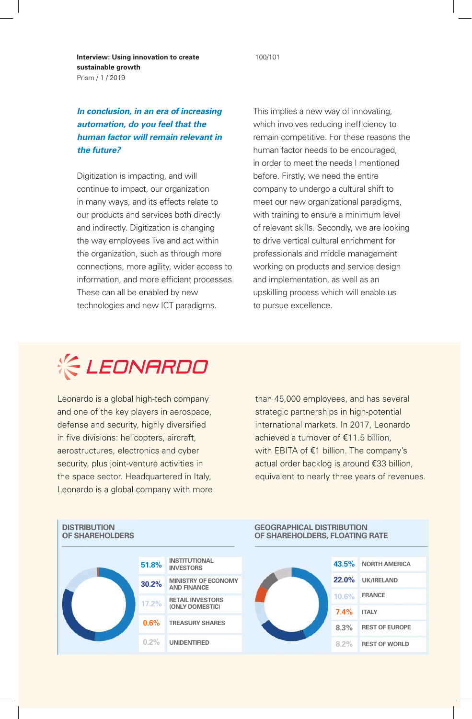100/101

**Interview: Using innovation to create sustainable growth**  Prism / 1 / 2019

#### *In conclusion, in an era of increasing automation, do you feel that the human factor will remain relevant in the future?*

Digitization is impacting, and will continue to impact, our organization in many ways, and its effects relate to our products and services both directly and indirectly. Digitization is changing the way employees live and act within the organization, such as through more connections, more agility, wider access to information, and more efficient processes. These can all be enabled by new technologies and new ICT paradigms.

This implies a new way of innovating, which involves reducing inefficiency to remain competitive. For these reasons the human factor needs to be encouraged, in order to meet the needs I mentioned before. Firstly, we need the entire company to undergo a cultural shift to meet our new organizational paradigms, with training to ensure a minimum level of relevant skills. Secondly, we are looking to drive vertical cultural enrichment for professionals and middle management working on products and service design and implementation, as well as an upskilling process which will enable us to pursue excellence.



Leonardo is a global high-tech company and one of the key players in aerospace, defense and security, highly diversified in five divisions: helicopters, aircraft, aerostructures, electronics and cyber security, plus joint-venture activities in the space sector. Headquartered in Italy, Leonardo is a global company with more than 45,000 employees, and has several strategic partnerships in high-potential international markets. In 2017, Leonardo achieved a turnover of €11.5 billion, with EBITA of €1 billion. The company's actual order backlog is around €33 billion, equivalent to nearly three years of revenues.



#### **GEOGRAPHICAL DISTRIBUTION OF SHAREHOLDERS, FLOATING RATE**